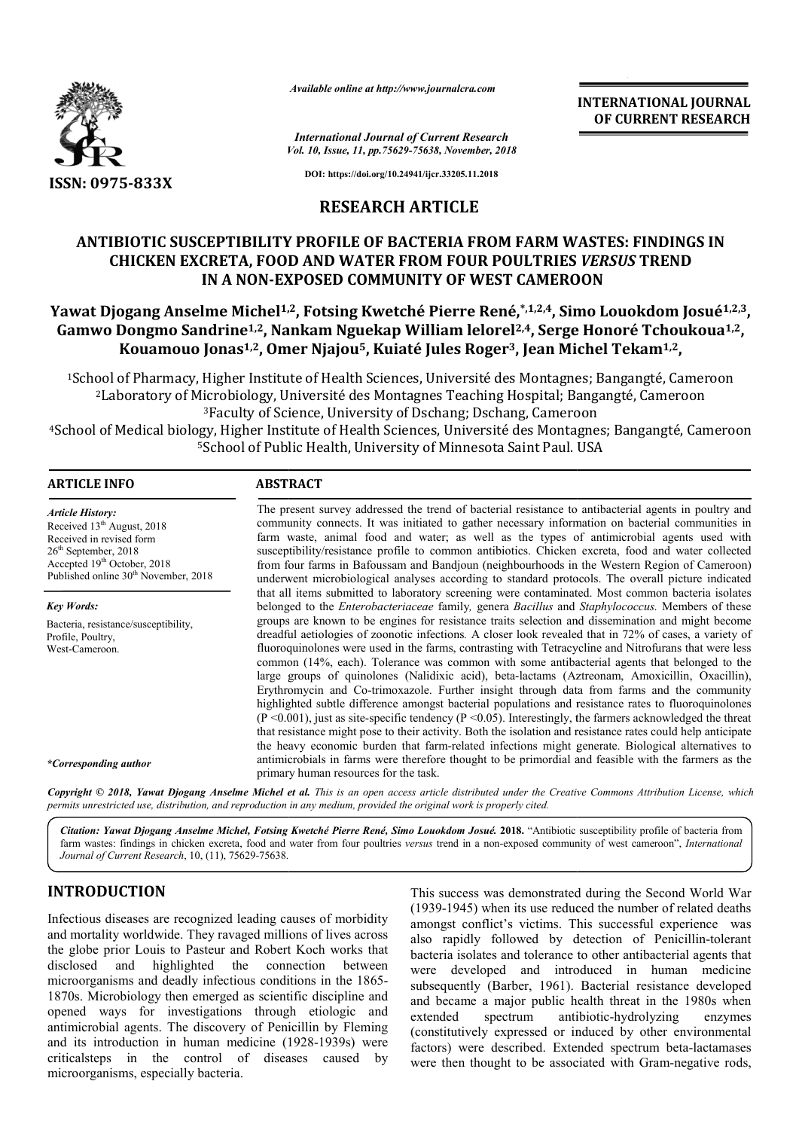

*Available online at http://www.journalcra.com*

*Vol. 10, Issue, 11, pp.75629-75638, November, 2018 International Journal of Current Research*

**INTERNATIONAL JOURNAL OF CURRENT RESEARCH**

**DOI: https://doi.org/10.24941/ijcr.33205.11.2018**

# **RESEARCH ARTICLE**

# **ANTIBIOTIC SUSCEPTIBILITY PROFILE OF BACTERIA FROM FARM WASTES: FINDINGS IN**  IBIOTIC SUSCEPTIBILITY PROFILE OF BACTERIA FROM FARM WASTES: FINDIN(<br>CHICKEN EXCRETA, FOOD AND WATER FROM FOUR POULTRIES *VERSUS* TREND **IN A NON-EXPOSED COMMUNITY OF WEST CAMEROON**

# IN A NON-EXPOSED COMMUNITY OF WEST CAMEROON<br>Yawat Djogang Anselme Michel<sup>1,2</sup>, Fotsing Kwetché Pierre René,\*,<sup>1,2,4</sup>, Simo Louokdom Josué<sup>1,2,3</sup>, Gamwo Dongmo Sandrine<sup>1,2</sup>, Nankam Nguekap William lelorel<sup>2,4</sup>, Serge Honoré Tchoukoua<sup>1,2</sup>, Kouamouo Jonas<sup>1,2</sup>, Omer Njajou<sup>5</sup>, Kuiaté Jules Roger<sup>3</sup>, Jean Michel Tekam<sup>1,2</sup>,

<sup>1</sup>School of Pharmacy, Higher Institute of Health Sciences, Université des Montagnes; Bangangté, Cameroon<sup>2</sup>Laboratory of Microbiology, Université des Montagnes Teaching Hospital; Bangangté, Cameroon 2Laboratory of Microbiology, Université des Montagnes Teaching Hospital; Bangangté, 3Faculty of Science, University of Dschang; Dschang, Cameroon 4School of Medical biology, Higher Institute of Health Sciences, Université des Montagnes; Bangangté, Cameroon <sup>5</sup>School of Public Health, University of Minnesota Saint Paul. USA <sup>1</sup>School of Pharmacy, Higher Institute of Health Sciences, Université des Montagnes; Bangangté, Camerc<br><sup>2</sup>Laboratory of Microbiology, Université des Montagnes Teaching Hospital; Bangangté, Camerc<br><sup>3</sup>Faculty of Science, U

#### **ARTICLE INFO ABSTRACT**

The present survey addressed the trend of bacterial resistance to antibacterial agents in poultry and community connects. It was initiated to gather necessary information on bacterial communities in farm waste, animal food and water; as well as the types of antimicrobial agents used with susceptibility/resistance profile to common antibiotics. Chicken excreta, food and water collected from four farms i in Bafoussam and Bandjoun (neighbourhoods in the Western Region of Cameroon) underwent microbiological analyses according to standard protocols. The overall picture indicated that all items submitted to laboratory screening were contaminated. Most common bacteria isolates belonged to the *Enterobacteriaceae* family*,* genera *Bacillus* and *Staphylococcus.* Members of these groups are known to be engines for resistance traits selection and dissemination and might become dreadful aetiologies of zoonotic infections *.* A closer look revealed that in 72% of cases, a variety of fluoroquinolones were used in the farms, contrasting with Tetracycline and Nitrofurans that were less common (14%, each). Tolerance was common with some antibacterial agents that belonged to the large groups of quinolones (Nalidixic acid), beta-lactams (Aztreonam, Amoxicillin, Oxacillin), Erythromycin and Co Co-trimoxazole. Further insight through data from farms and the community highlighted subtle difference amongst bacterial populations and resistance rates to fluoroquinolones  $(P \le 0.001)$ , just as site-specific tendency  $(P \le 0.05)$ . Interestingly, the farmers acknowledged the threat that resistance might pose to their activity. Both the isolation and resistance rates could help anticipate the heavy economic burden that farm-related infections might generate. Biological alternatives to that resistance might pose to their activity. Both the isolation and resistance rates could help anticipate the heavy economic burden that farm-related infections might generate. Biological alternatives to antimicrobials i primary human resources for the task. *Article History:* Received 13<sup>th</sup> August, 2018 Received in revised form 26th September, 2018 Accepted 19<sup>th</sup> October, 2018 Published online 30<sup>th</sup> November, 2018 *Key Words:* Bacteria, resistance/susceptibility, Profile, Poultry, West-Cameroon. *\*Corresponding author* The present survey addressed the trend of bacterial resistance to antibacterial agents in poultry and community connects. It was initiated to gather necessary information on bacterial communities in farm waste, animal food groups are known to be engines for resistance traits selection and dissemination and might become dreadful aetiologies of zoonotic infections. A closer look revealed that in 72% of cases, a variety of fluoroquinolones were

Copyright © 2018, Yawat Djogang Anselme Michel et al. This is an open access article distributed under the Creative Commons Attribution License, which permits unrestricted use, distribution, and reproduction in any medium, provided the original work is properly cited.

Citation: Yawat Djogang Anselme Michel, Fotsing Kwetché Pierre René, Simo Louokdom Josué. 2018. "Antibiotic susceptibility profile of bacteria from Citation: Yawat Djogang Anselme Michel, Fotsing Kwetché Pierre René, Simo Louokdom Josué. 2018. "Antibiotic susceptibility profile of bacteria from<br>farm wastes: findings in chicken excreta, food and water from four poultri *Journal of Current Research*, 10, (11), 75629-75638.

# **INTRODUCTION**

Infectious diseases are recognized leading causes of morbidity and mortality worldwide. They ravaged millions of lives across the globe prior Louis to Pasteur and Robert Koch works that disclosed and highlighted the connection between microorganisms and deadly infectious conditions in the 1 1865- 1870s. Microbiology then emerged as scientific discipline and opened ways for investigations through etiologic and antimicrobial agents. The discovery of Penicillin by Fleming and its introduction in human medicine (1928 (1928-1939s) were criticalsteps in the control of diseases caused by microorganisms, especially bacteria. This success was demonstrated<br>
(1939-1945) when its use reduce<br>
ide. They ravaged millions of lives across<br>
is to Pasteur and Robert Koch works that<br>
ghlighted the connection between<br>
deadly infectious conditions in the 18

(1939-1945) when its use reduced the number of related deaths amongst conflict's victims. This successful experience was amongst conflict's victims. This successful experience was also rapidly followed by detection of Penicillin-tolerant bacteria isolates and tolerance to other antibacterial agents that were developed and introduced in human medicine subsequently (Barber, 1961). Bacterial resistance developed and became a major public health threat in the 1980s when extended spectrum (constitutively expressed or induced by other environmental factors) were described. Extended spectrum beta-lactamases were then thought to be associated with Gram-negative rods, This success was demonstrated during the Second World War pped and introduced in human medicine (Barber, 1961). Bacterial resistance developed<br>a major public health threat in the 1980s when antibiotic-hydrolyzing enzymes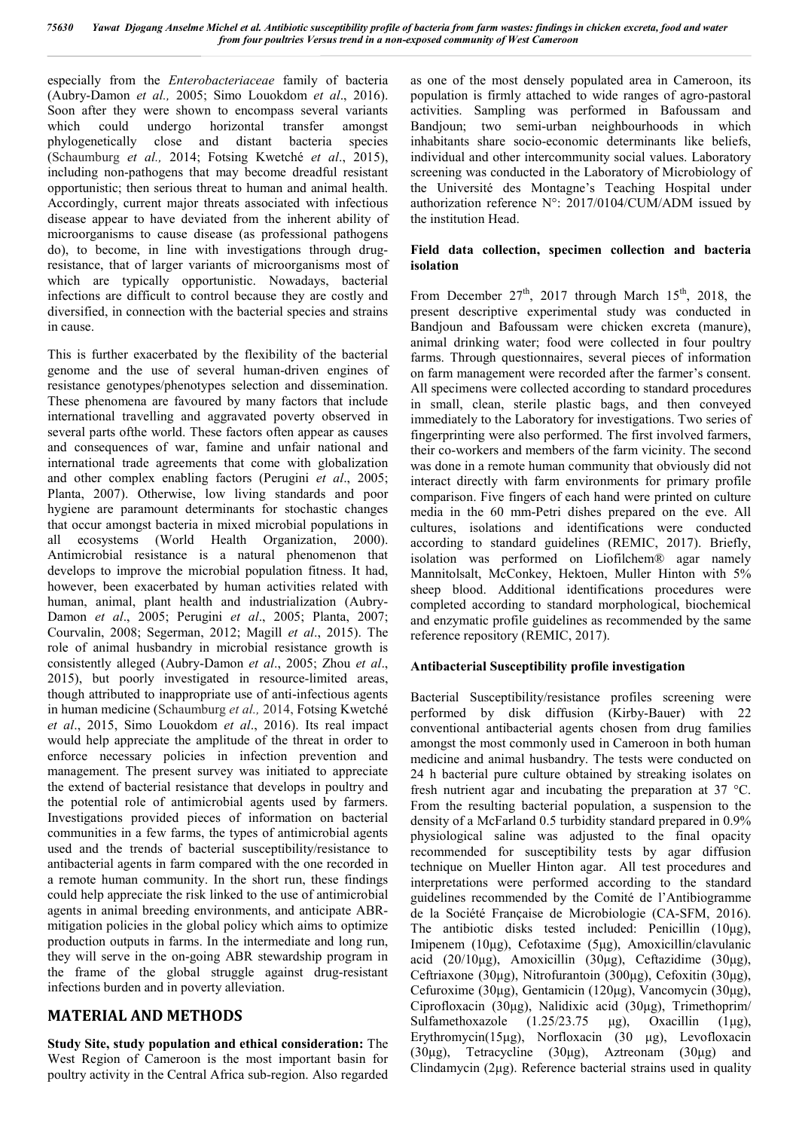especially from the *Enterobacteriaceae* family of bacteria (Aubry-Damon *et al.,* 2005; Simo Louokdom *et al*., 2016). Soon after they were shown to encompass several variants which could undergo horizontal transfer amongst phylogenetically close and distant bacteria species (Schaumburg *et al.,* 2014; Fotsing Kwetché *et al*., 2015), including non-pathogens that may become dreadful resistant opportunistic; then serious threat to human and animal health. Accordingly, current major threats associated with infectious disease appear to have deviated from the inherent ability of microorganisms to cause disease (as professional pathogens do), to become, in line with investigations through drugresistance, that of larger variants of microorganisms most of which are typically opportunistic. Nowadays, bacterial infections are difficult to control because they are costly and diversified, in connection with the bacterial species and strains in cause.

This is further exacerbated by the flexibility of the bacterial genome and the use of several human-driven engines of resistance genotypes/phenotypes selection and dissemination. These phenomena are favoured by many factors that include international travelling and aggravated poverty observed in several parts ofthe world. These factors often appear as causes and consequences of war, famine and unfair national and international trade agreements that come with globalization and other complex enabling factors (Perugini *et al*., 2005; Planta, 2007). Otherwise, low living standards and poor hygiene are paramount determinants for stochastic changes that occur amongst bacteria in mixed microbial populations in all ecosystems (World Health Organization, 2000). Antimicrobial resistance is a natural phenomenon that develops to improve the microbial population fitness. It had, however, been exacerbated by human activities related with human, animal, plant health and industrialization (Aubry-Damon *et al*., 2005; Perugini *et al*., 2005; Planta, 2007; Courvalin, 2008; Segerman, 2012; Magill *et al*., 2015). The role of animal husbandry in microbial resistance growth is consistently alleged (Aubry-Damon *et al*., 2005; Zhou *et al*., 2015), but poorly investigated in resource-limited areas, though attributed to inappropriate use of anti-infectious agents in human medicine (Schaumburg *et al.,* 2014, Fotsing Kwetché *et al*., 2015, Simo Louokdom *et al*., 2016). Its real impact would help appreciate the amplitude of the threat in order to enforce necessary policies in infection prevention and management. The present survey was initiated to appreciate the extend of bacterial resistance that develops in poultry and the potential role of antimicrobial agents used by farmers. Investigations provided pieces of information on bacterial communities in a few farms, the types of antimicrobial agents used and the trends of bacterial susceptibility/resistance to antibacterial agents in farm compared with the one recorded in a remote human community. In the short run, these findings could help appreciate the risk linked to the use of antimicrobial agents in animal breeding environments, and anticipate ABRmitigation policies in the global policy which aims to optimize production outputs in farms. In the intermediate and long run, they will serve in the on-going ABR stewardship program in the frame of the global struggle against drug-resistant infections burden and in poverty alleviation.

# **MATERIAL AND METHODS**

**Study Site, study population and ethical consideration:** The West Region of Cameroon is the most important basin for poultry activity in the Central Africa sub-region. Also regarded as one of the most densely populated area in Cameroon, its population is firmly attached to wide ranges of agro-pastoral activities. Sampling was performed in Bafoussam and Bandjoun; two semi-urban neighbourhoods in which inhabitants share socio-economic determinants like beliefs, individual and other intercommunity social values. Laboratory screening was conducted in the Laboratory of Microbiology of the Université des Montagne's Teaching Hospital under authorization reference N°: 2017/0104/CUM/ADM issued by the institution Head.

#### **Field data collection, specimen collection and bacteria isolation**

From December  $27<sup>th</sup>$ , 2017 through March 15<sup>th</sup>, 2018, the present descriptive experimental study was conducted in Bandjoun and Bafoussam were chicken excreta (manure), animal drinking water; food were collected in four poultry farms. Through questionnaires, several pieces of information on farm management were recorded after the farmer's consent. All specimens were collected according to standard procedures in small, clean, sterile plastic bags, and then conveyed immediately to the Laboratory for investigations. Two series of fingerprinting were also performed. The first involved farmers, their co-workers and members of the farm vicinity. The second was done in a remote human community that obviously did not interact directly with farm environments for primary profile comparison. Five fingers of each hand were printed on culture media in the 60 mm-Petri dishes prepared on the eve. All cultures, isolations and identifications were conducted according to standard guidelines (REMIC, 2017). Briefly, isolation was performed on Liofilchem® agar namely Mannitolsalt, McConkey, Hektoen, Muller Hinton with 5% sheep blood. Additional identifications procedures were completed according to standard morphological, biochemical and enzymatic profile guidelines as recommended by the same reference repository (REMIC, 2017).

# **Antibacterial Susceptibility profile investigation**

Bacterial Susceptibility/resistance profiles screening were performed by disk diffusion (Kirby-Bauer) with 22 conventional antibacterial agents chosen from drug families amongst the most commonly used in Cameroon in both human medicine and animal husbandry. The tests were conducted on 24 h bacterial pure culture obtained by streaking isolates on fresh nutrient agar and incubating the preparation at 37 °C. From the resulting bacterial population, a suspension to the density of a McFarland 0.5 turbidity standard prepared in 0.9% physiological saline was adjusted to the final opacity recommended for susceptibility tests by agar diffusion technique on Mueller Hinton agar. All test procedures and interpretations were performed according to the standard guidelines recommended by the Comité de l'Antibiogramme de la Société Française de Microbiologie (CA-SFM, 2016). The antibiotic disks tested included: Penicillin (10μg), Imipenem (10μg), Cefotaxime (5μg), Amoxicillin/clavulanic acid (20/10μg), Amoxicillin (30μg), Ceftazidime (30μg), Ceftriaxone (30μg), Nitrofurantoin (300μg), Cefoxitin (30μg), Cefuroxime (30μg), Gentamicin (120μg), Vancomycin (30μg), Ciprofloxacin (30μg), Nalidixic acid (30μg), Trimethoprim/ Sulfamethoxazole (1.25/23.75 μg), Oxacillin (1μg), Erythromycin(15μg), Norfloxacin (30 μg), Levofloxacin (30μg), Tetracycline (30μg), Aztreonam (30μg) and Clindamycin (2μg). Reference bacterial strains used in quality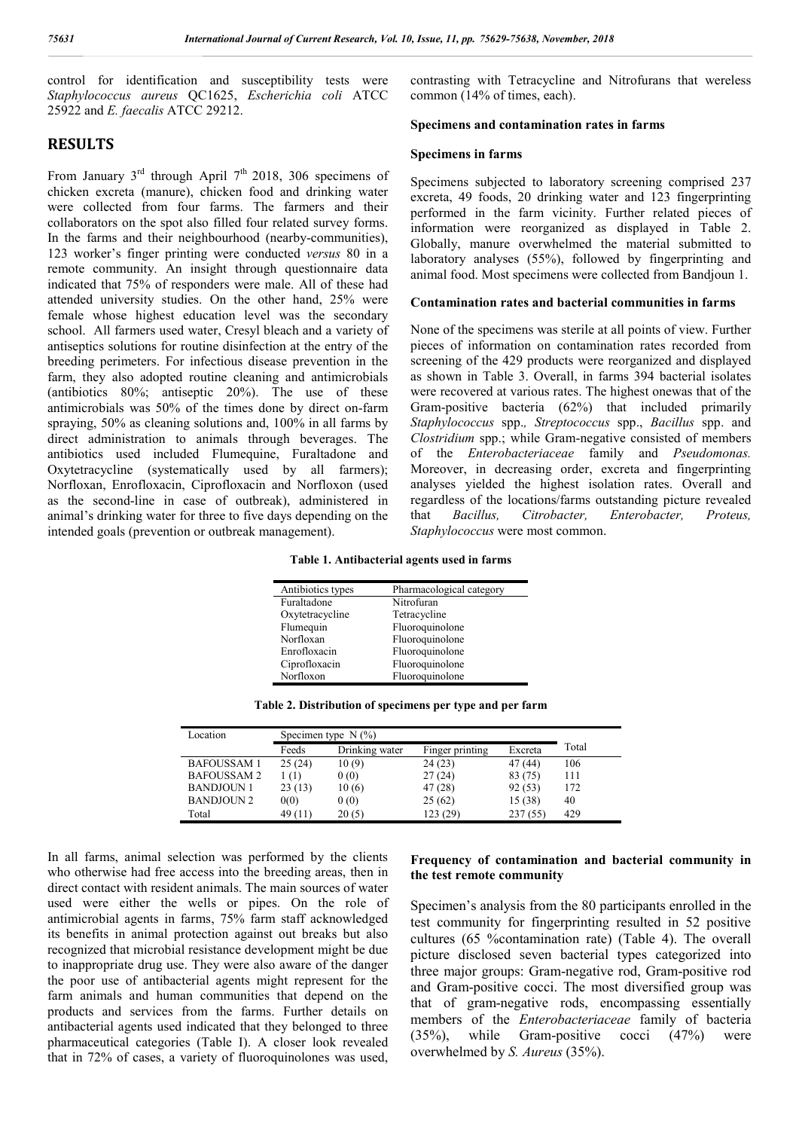control for identification and susceptibility tests were *Staphylococcus aureus* QC1625, *Escherichia coli* ATCC 25922 and *E. faecalis* ATCC 29212.

# **RESULTS**

From January  $3<sup>rd</sup>$  through April  $7<sup>th</sup>$  2018, 306 specimens of chicken excreta (manure), chicken food and drinking water were collected from four farms. The farmers and their collaborators on the spot also filled four related survey forms. In the farms and their neighbourhood (nearby-communities), 123 worker's finger printing were conducted *versus* 80 in a remote community. An insight through questionnaire data indicated that 75% of responders were male. All of these had attended university studies. On the other hand, 25% were female whose highest education level was the secondary school. All farmers used water, Cresyl bleach and a variety of antiseptics solutions for routine disinfection at the entry of the breeding perimeters. For infectious disease prevention in the farm, they also adopted routine cleaning and antimicrobials (antibiotics 80%; antiseptic 20%). The use of these antimicrobials was 50% of the times done by direct on-farm spraying, 50% as cleaning solutions and, 100% in all farms by direct administration to animals through beverages. The antibiotics used included Flumequine, Furaltadone and Oxytetracycline (systematically used by all farmers); Norfloxan, Enrofloxacin, Ciprofloxacin and Norfloxon (used as the second-line in case of outbreak), administered in animal's drinking water for three to five days depending on the intended goals (prevention or outbreak management).

contrasting with Tetracycline and Nitrofurans that wereless common (14% of times, each).

#### **Specimens and contamination rates in farms**

#### **Specimens in farms**

Specimens subjected to laboratory screening comprised 237 excreta, 49 foods, 20 drinking water and 123 fingerprinting performed in the farm vicinity. Further related pieces of information were reorganized as displayed in Table 2. Globally, manure overwhelmed the material submitted to laboratory analyses (55%), followed by fingerprinting and animal food. Most specimens were collected from Bandjoun 1.

## **Contamination rates and bacterial communities in farms**

None of the specimens was sterile at all points of view. Further pieces of information on contamination rates recorded from screening of the 429 products were reorganized and displayed as shown in Table 3. Overall, in farms 394 bacterial isolates were recovered at various rates. The highest onewas that of the Gram-positive bacteria (62%) that included primarily *Staphylococcus* spp.*, Streptococcus* spp., *Bacillus* spp. and *Clostridium* spp.; while Gram-negative consisted of members of the *Enterobacteriaceae* family and *Pseudomonas.* Moreover, in decreasing order, excreta and fingerprinting analyses yielded the highest isolation rates. Overall and regardless of the locations/farms outstanding picture revealed that *Bacillus, Citrobacter, Enterobacter, Proteus, Staphylococcus* were most common.

|  | Table 1. Antibacterial agents used in farms |  |  |  |  |
|--|---------------------------------------------|--|--|--|--|
|--|---------------------------------------------|--|--|--|--|

| Antibiotics types | Pharmacological category |
|-------------------|--------------------------|
| Furaltadone       | Nitrofuran               |
| Oxytetracycline   | Tetracycline             |
| Flumequin         | Fluoroquinolone          |
| Norfloxan         | Fluoroquinolone          |
| Enrofloxacin      | Fluoroquinolone          |
| Ciprofloxacin     | Fluoroquinolone          |
| Norfloxon         | Fluoroquinolone          |

**Table 2. Distribution of specimens per type and per farm**

| Location          | Specimen type $N$ (%) |                |                 |         |       |
|-------------------|-----------------------|----------------|-----------------|---------|-------|
|                   | Feeds                 | Drinking water | Finger printing | Excreta | Total |
| <b>BAFOUSSAM1</b> | 25(24)                | 10(9)          | 24(23)          | 47 (44) | 106   |
| <b>BAFOUSSAM2</b> | 1(1)                  | 0(0)           | 27(24)          | 83 (75) | 111   |
| <b>BANDJOUN 1</b> | 23(13)                | 10(6)          | 47 (28)         | 92(53)  | 172   |
| BANDJOUN 2        | 0(0)                  | 0(0)           | 25(62)          | 15 (38) | 40    |
| Total             | 49(11)                | 20(5)          | 123 (29)        | 237(55) | 429   |

In all farms, animal selection was performed by the clients who otherwise had free access into the breeding areas, then in direct contact with resident animals. The main sources of water used were either the wells or pipes. On the role of antimicrobial agents in farms, 75% farm staff acknowledged its benefits in animal protection against out breaks but also recognized that microbial resistance development might be due to inappropriate drug use. They were also aware of the danger the poor use of antibacterial agents might represent for the farm animals and human communities that depend on the products and services from the farms. Further details on antibacterial agents used indicated that they belonged to three pharmaceutical categories (Table I). A closer look revealed that in 72% of cases, a variety of fluoroquinolones was used,

#### **Frequency of contamination and bacterial community in the test remote community**

Specimen's analysis from the 80 participants enrolled in the test community for fingerprinting resulted in 52 positive cultures (65 %contamination rate) (Table 4). The overall picture disclosed seven bacterial types categorized into three major groups: Gram-negative rod, Gram-positive rod and Gram-positive cocci. The most diversified group was that of gram-negative rods, encompassing essentially members of the *Enterobacteriaceae* family of bacteria (35%), while Gram-positive cocci (47%) were overwhelmed by *S. Aureus* (35%).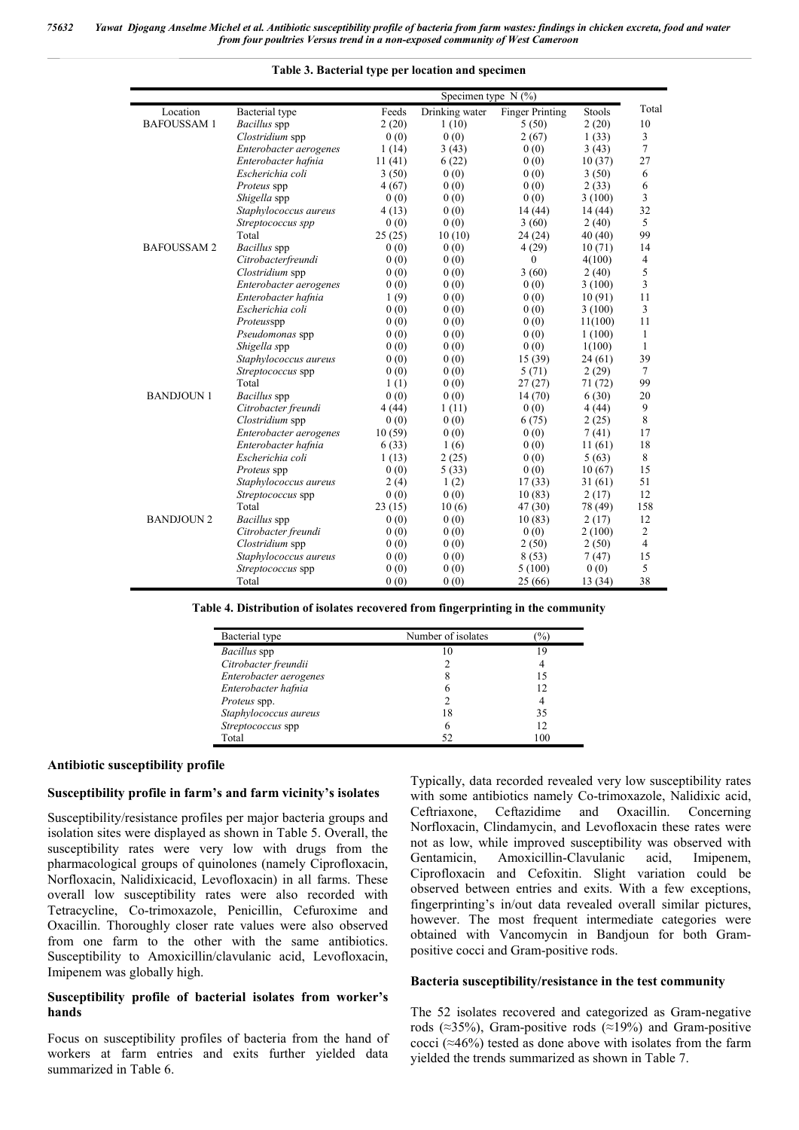|                   | Specimen type $N$ (%)  |        |                |                        |         |                |  |  |  |
|-------------------|------------------------|--------|----------------|------------------------|---------|----------------|--|--|--|
| Location          | Bacterial type         | Feeds  | Drinking water | <b>Finger Printing</b> | Stools  | Total          |  |  |  |
| <b>BAFOUSSAM1</b> | Bacillus spp           | 2(20)  | 1(10)          | 5(50)                  | 2(20)   | 10             |  |  |  |
|                   | Clostridium spp        | 0(0)   | 0(0)           | 2(67)                  | 1(33)   | 3              |  |  |  |
|                   | Enterobacter aerogenes | 1(14)  | 3(43)          | 0(0)                   | 3(43)   | $\tau$         |  |  |  |
|                   | Enterobacter hafnia    | 11(41) | 6(22)          | 0(0)                   | 10(37)  | 27             |  |  |  |
|                   | Escherichia coli       | 3(50)  | 0(0)           | 0(0)                   | 3(50)   | 6              |  |  |  |
|                   | Proteus spp            | 4(67)  | 0(0)           | 0(0)                   | 2(33)   | 6              |  |  |  |
|                   | Shigella spp           | 0(0)   | 0(0)           | 0(0)                   | 3(100)  | $\overline{3}$ |  |  |  |
|                   | Staphylococcus aureus  | 4(13)  | 0(0)           | 14(44)                 | 14(44)  | 32             |  |  |  |
|                   | Streptococcus spp      | 0(0)   | 0(0)           | 3(60)                  | 2(40)   | 5              |  |  |  |
|                   | Total                  | 25(25) | 10(10)         | 24(24)                 | 40(40)  | 99             |  |  |  |
| <b>BAFOUSSAM2</b> | Bacillus spp           | 0(0)   | 0(0)           | 4(29)                  | 10(71)  | 14             |  |  |  |
|                   | Citrobacterfreundi     | 0(0)   | 0(0)           | $\mathbf{0}$           | 4(100)  | 4              |  |  |  |
|                   | Clostridium spp        | 0(0)   | 0(0)           | 3(60)                  | 2(40)   | 5              |  |  |  |
|                   | Enterobacter aerogenes | 0(0)   | 0(0)           | 0(0)                   | 3(100)  | 3              |  |  |  |
|                   | Enterobacter hafnia    | 1(9)   | 0(0)           | 0(0)                   | 10(91)  | 11             |  |  |  |
|                   | Escherichia coli       | 0(0)   | 0(0)           | 0(0)                   | 3(100)  | 3              |  |  |  |
|                   | Proteusspp             | 0(0)   | 0(0)           | 0(0)                   | 11(100) | 11             |  |  |  |
|                   | Pseudomonas spp        | 0(0)   | 0(0)           | 0(0)                   | 1(100)  | $\mathbf{1}$   |  |  |  |
|                   | Shigella spp           | 0(0)   | 0(0)           | 0(0)                   | 1(100)  | $\mathbf{1}$   |  |  |  |
|                   | Staphylococcus aureus  | 0(0)   | 0(0)           | 15(39)                 | 24(61)  | 39             |  |  |  |
|                   | Streptococcus spp      | 0(0)   | 0(0)           | 5(71)                  | 2(29)   | $\tau$         |  |  |  |
|                   | Total                  | 1(1)   | 0(0)           | 27(27)                 | 71 (72) | 99             |  |  |  |
| <b>BANDJOUN 1</b> | Bacillus spp           | 0(0)   | 0(0)           | 14(70)                 | 6(30)   | 20             |  |  |  |
|                   | Citrobacter freundi    | 4(44)  | 1(11)          | 0(0)                   | 4(44)   | 9              |  |  |  |
|                   | Clostridium spp        | 0(0)   | 0(0)           | 6(75)                  | 2(25)   | 8              |  |  |  |
|                   | Enterobacter aerogenes | 10(59) | 0(0)           | 0(0)                   | 7(41)   | 17             |  |  |  |
|                   | Enterobacter hafnia    | 6(33)  | 1(6)           | 0(0)                   | 11(61)  | 18             |  |  |  |
|                   | Escherichia coli       | 1(13)  | 2(25)          | 0(0)                   | 5(63)   | 8              |  |  |  |
|                   | Proteus spp            | 0(0)   | 5(33)          | 0(0)                   | 10(67)  | 15             |  |  |  |
|                   | Staphylococcus aureus  | 2(4)   | 1(2)           | 17(33)                 | 31(61)  | 51             |  |  |  |
|                   | Streptococcus spp      | 0(0)   | 0(0)           | 10(83)                 | 2(17)   | 12             |  |  |  |
|                   | Total                  | 23(15) | 10(6)          | 47(30)                 | 78 (49) | 158            |  |  |  |
| <b>BANDJOUN 2</b> | <b>Bacillus</b> spp    | 0(0)   | 0(0)           | 10(83)                 | 2(17)   | 12             |  |  |  |
|                   | Citrobacter freundi    | 0(0)   | 0(0)           | 0(0)                   | 2(100)  | $\overline{c}$ |  |  |  |
|                   | Clostridium spp        | 0(0)   | 0(0)           | 2(50)                  | 2(50)   | $\overline{4}$ |  |  |  |
|                   | Staphylococcus aureus  | 0(0)   | 0(0)           | 8(53)                  | 7(47)   | 15             |  |  |  |
|                   | Streptococcus spp      | 0(0)   | 0(0)           | 5(100)                 | 0(0)    | 5              |  |  |  |
|                   | Total                  | 0(0)   | 0(0)           | 25(66)                 | 13(34)  | 38             |  |  |  |

*75632 Yawat Djogang Anselme Michel et al. Antibiotic susceptibility profile of bacteria from farm wastes: findings in chicken excreta, food and water from four poultries Versus trend in a non-exposed community of West Cameroon*

**Table 3. Bacterial type per location and specimen**

#### **Table 4. Distribution of isolates recovered from fingerprinting in the community**

| Bacterial type         | Number of isolates | $\%$ |
|------------------------|--------------------|------|
| Bacillus spp           | 10                 | 19   |
| Citrobacter freundii   |                    |      |
| Enterobacter aerogenes | 8                  | 15   |
| Enterobacter hafnia    | 6                  | 12   |
| Proteus spp.           | $\mathfrak{D}$     | 4    |
| Staphylococcus aureus  | 18                 | 35   |
| Streptococcus spp      | 6                  | 12   |
| Total                  | 52                 | 100  |

#### **Antibiotic susceptibility profile**

#### **Susceptibility profile in farm's and farm vicinity's isolates**

Susceptibility/resistance profiles per major bacteria groups and isolation sites were displayed as shown in Table 5. Overall, the susceptibility rates were very low with drugs from the pharmacological groups of quinolones (namely Ciprofloxacin, Norfloxacin, Nalidixicacid, Levofloxacin) in all farms. These overall low susceptibility rates were also recorded with Tetracycline, Co-trimoxazole, Penicillin, Cefuroxime and Oxacillin. Thoroughly closer rate values were also observed from one farm to the other with the same antibiotics. Susceptibility to Amoxicillin/clavulanic acid, Levofloxacin, Imipenem was globally high.

#### **Susceptibility profile of bacterial isolates from worker's hands**

Focus on susceptibility profiles of bacteria from the hand of workers at farm entries and exits further yielded data summarized in Table 6.

Typically, data recorded revealed very low susceptibility rates with some antibiotics namely Co-trimoxazole, Nalidixic acid, Ceftriaxone, Ceftazidime and Oxacillin. Concerning Norfloxacin, Clindamycin, and Levofloxacin these rates were not as low, while improved susceptibility was observed with Gentamicin, Amoxicillin-Clavulanic acid, Imipenem, Ciprofloxacin and Cefoxitin. Slight variation could be observed between entries and exits. With a few exceptions, fingerprinting's in/out data revealed overall similar pictures, however. The most frequent intermediate categories were obtained with Vancomycin in Bandjoun for both Grampositive cocci and Gram-positive rods.

#### **Bacteria susceptibility/resistance in the test community**

The 52 isolates recovered and categorized as Gram-negative rods ( $\approx$ 35%), Gram-positive rods ( $\approx$ 19%) and Gram-positive cocci ( $\approx$ 46%) tested as done above with isolates from the farm yielded the trends summarized as shown in Table 7.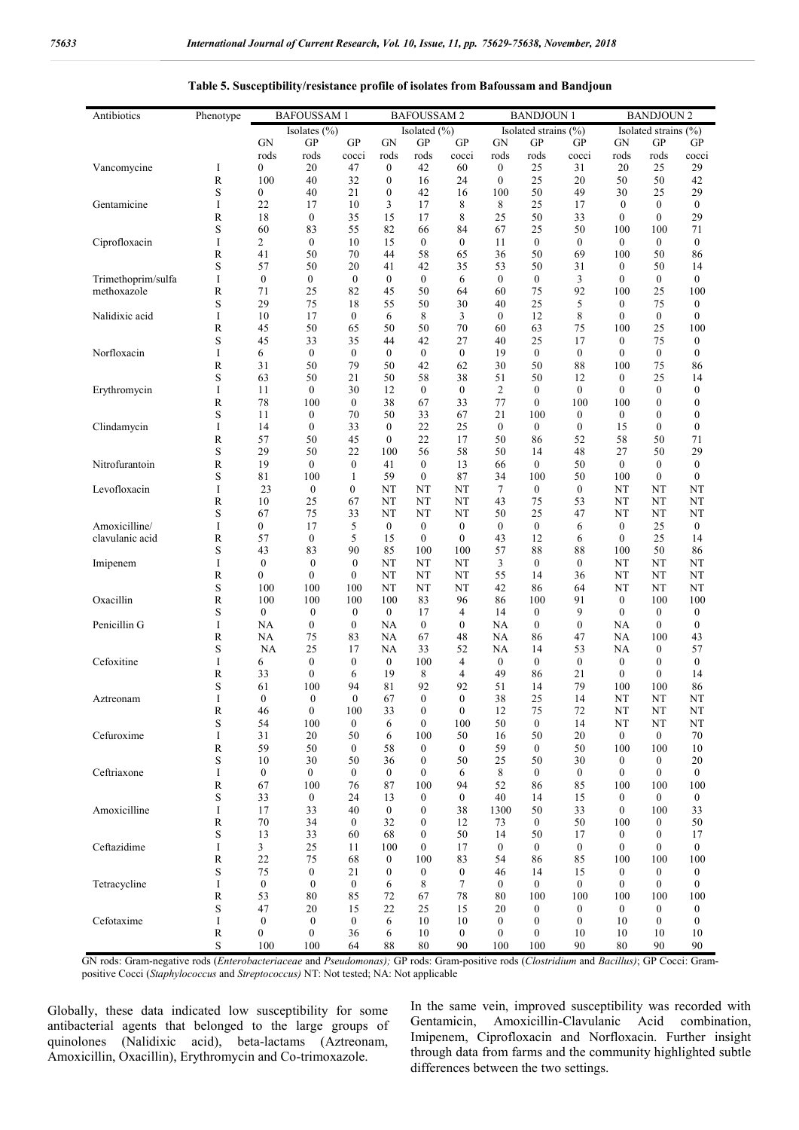| Antibiotics        | Phenotype   | <b>BAFOUSSAM1</b>      |                                      | <b>BAFOUSSAM2</b>                |                        | <b>BANDJOUN1</b>                     |                  | <b>BANDJOUN 2</b>                    |                                      |                        |                                  |                                      |                                      |
|--------------------|-------------|------------------------|--------------------------------------|----------------------------------|------------------------|--------------------------------------|------------------|--------------------------------------|--------------------------------------|------------------------|----------------------------------|--------------------------------------|--------------------------------------|
|                    |             |                        | Isolates (%)                         |                                  |                        | Isolated (%)                         |                  |                                      | Isolated strains (%)                 |                        |                                  | Isolated strains (%)                 |                                      |
|                    |             | <b>GN</b>              | GP                                   | GP                               | <b>GN</b>              | <b>GP</b>                            | GP               | <b>GN</b>                            | <b>GP</b>                            | GP                     | GN                               | GP                                   | GP                                   |
|                    |             | rods                   | rods                                 | cocci                            | rods                   | rods                                 | cocci            | rods                                 | rods                                 | cocci                  | rods                             | rods                                 | cocci                                |
| Vancomycine        | I<br>R      | 0<br>100               | 20<br>40                             | 47<br>32                         | 0<br>0                 | 42<br>16                             | 60<br>24         | $\boldsymbol{0}$<br>$\boldsymbol{0}$ | 25<br>25                             | 31<br>20               | 20<br>50                         | 25<br>50                             | 29<br>42                             |
|                    | S           | 0                      | 40                                   | 21                               | 0                      | 42                                   | 16               | 100                                  | 50                                   | 49                     | 30                               | 25                                   | 29                                   |
| Gentamicine        | I           | 22                     | 17                                   | 10                               | 3                      | 17                                   | 8                | 8                                    | 25                                   | 17                     | $\mathbf{0}$                     | $\boldsymbol{0}$                     | $\boldsymbol{0}$                     |
|                    | R           | 18                     | $\boldsymbol{0}$                     | 35                               | 15                     | 17                                   | 8                | 25                                   | 50                                   | 33                     | $\mathbf{0}$                     | $\mathbf{0}$                         | 29                                   |
|                    | S           | 60                     | 83                                   | 55                               | 82                     | 66                                   | 84               | 67                                   | 25                                   | 50                     | 100                              | 100                                  | 71                                   |
| Ciprofloxacin      | I           | 2                      | $\boldsymbol{0}$                     | 10                               | 15                     | $\boldsymbol{0}$                     | $\mathbf{0}$     | 11                                   | $\mathbf{0}$                         | $\boldsymbol{0}$       | $\mathbf{0}$                     | $\mathbf{0}$                         | $\boldsymbol{0}$                     |
|                    | R           | 41                     | 50                                   | 70                               | 44                     | 58                                   | 65               | 36                                   | 50                                   | 69                     | 100                              | 50                                   | 86                                   |
| Trimethoprim/sulfa | S<br>I      | 57<br>$\boldsymbol{0}$ | 50<br>$\boldsymbol{0}$               | 20<br>$\mathbf{0}$               | 41<br>$\boldsymbol{0}$ | 42<br>$\boldsymbol{0}$               | 35<br>6          | 53<br>$\mathbf{0}$                   | 50<br>$\mathbf{0}$                   | 31<br>3                | $\boldsymbol{0}$<br>$\mathbf{0}$ | 50<br>$\boldsymbol{0}$               | 14<br>$\boldsymbol{0}$               |
| methoxazole        | R           | 71                     | 25                                   | 82                               | 45                     | 50                                   | 64               | 60                                   | 75                                   | 92                     | 100                              | 25                                   | 100                                  |
|                    | S           | 29                     | 75                                   | 18                               | 55                     | 50                                   | 30               | 40                                   | 25                                   | 5                      | 0                                | 75                                   | $\boldsymbol{0}$                     |
| Nalidixic acid     | I           | 10                     | 17                                   | $\boldsymbol{0}$                 | 6                      | 8                                    | 3                | $\mathbf{0}$                         | 12                                   | 8                      | $\mathbf{0}$                     | 0                                    | $\boldsymbol{0}$                     |
|                    | R           | 45                     | 50                                   | 65                               | 50                     | 50                                   | 70               | 60                                   | 63                                   | 75                     | 100                              | 25                                   | 100                                  |
|                    | S           | 45                     | 33                                   | 35                               | 44                     | 42                                   | 27               | 40                                   | 25                                   | 17                     | $\boldsymbol{0}$                 | 75                                   | $\boldsymbol{0}$                     |
| Norfloxacin        | I           | 6                      | $\boldsymbol{0}$                     | $\boldsymbol{0}$                 | 0                      | $\bf{0}$                             | $\boldsymbol{0}$ | 19                                   | $\bf{0}$                             | $\boldsymbol{0}$       | $\boldsymbol{0}$                 | 0                                    | $\boldsymbol{0}$                     |
|                    | R<br>S      | 31<br>63               | 50<br>50                             | 79<br>21                         | 50<br>50               | 42<br>58                             | 62<br>38         | 30<br>51                             | 50<br>50                             | 88<br>12               | 100<br>$\boldsymbol{0}$          | 75<br>25                             | 86<br>14                             |
| Erythromycin       | I           | 11                     | $\mathbf{0}$                         | 30                               | 12                     | $\bf{0}$                             | $\boldsymbol{0}$ | 2                                    | $\boldsymbol{0}$                     | $\mathbf{0}$           | $\boldsymbol{0}$                 | $\mathbf{0}$                         | 0                                    |
|                    | R           | 78                     | 100                                  | $\boldsymbol{0}$                 | 38                     | 67                                   | 33               | 77                                   | $\boldsymbol{0}$                     | 100                    | 100                              | $\boldsymbol{0}$                     | 0                                    |
|                    | S           | 11                     | 0                                    | 70                               | 50                     | 33                                   | 67               | 21                                   | 100                                  | $\boldsymbol{0}$       | $\mathbf{0}$                     | 0                                    | $\boldsymbol{0}$                     |
| Clindamycin        | I           | 14                     | $\mathbf{0}$                         | 33                               | $\boldsymbol{0}$       | 22                                   | 25               | $\mathbf{0}$                         | $\mathbf{0}$                         | $\mathbf{0}$           | 15                               | $\mathbf{0}$                         | $\boldsymbol{0}$                     |
|                    | R           | 57                     | 50                                   | 45                               | $\mathbf{0}$           | 22                                   | 17               | 50                                   | 86                                   | 52                     | 58                               | 50                                   | 71                                   |
|                    | S           | 29                     | 50                                   | 22                               | 100                    | 56                                   | 58               | 50                                   | 14                                   | 48                     | 27                               | 50                                   | 29                                   |
| Nitrofurantoin     | R           | 19                     | 0                                    | $\boldsymbol{0}$                 | 41                     | $\boldsymbol{0}$                     | 13               | 66                                   | $\bf{0}$                             | 50                     | $\mathbf{0}$                     | 0                                    | $\boldsymbol{0}$                     |
|                    | S           | 81                     | 100                                  | 1                                | 59                     | $\mathbf{0}$                         | 87               | 34                                   | 100                                  | 50                     | 100                              | $\mathbf{0}$                         | $\mathbf{0}$                         |
| Levofloxacin       | I<br>R      | 23<br>10               | 0<br>25                              | $\mathbf{0}$<br>67               | NT<br>NT               | NT<br>NT                             | NT<br>NT         | 7<br>43                              | $\bf{0}$<br>75                       | $\boldsymbol{0}$<br>53 | NT<br>NT                         | NT<br>NT                             | NT<br>NT                             |
|                    | S           | 67                     | 75                                   | 33                               | NT                     | NT                                   | NT               | 50                                   | 25                                   | 47                     | NT                               | NT                                   | NT                                   |
| Amoxicilline/      | I           | 0                      | 17                                   | 5                                | $\boldsymbol{0}$       | $\boldsymbol{0}$                     | $\boldsymbol{0}$ | $\mathbf{0}$                         | $\boldsymbol{0}$                     | 6                      | $\boldsymbol{0}$                 | 25                                   | $\boldsymbol{0}$                     |
| clavulanic acid    | R           | 57                     | $\boldsymbol{0}$                     | 5                                | 15                     | $\bf{0}$                             | $\boldsymbol{0}$ | 43                                   | 12                                   | 6                      | $\boldsymbol{0}$                 | 25                                   | 14                                   |
|                    | S           | 43                     | 83                                   | 90                               | 85                     | 100                                  | 100              | 57                                   | 88                                   | 88                     | 100                              | 50                                   | 86                                   |
| Imipenem           | I           | $\boldsymbol{0}$       | $\boldsymbol{0}$                     | $\mathbf{0}$                     | NT                     | NT                                   | NT               | 3                                    | $\mathbf{0}$                         | $\mathbf{0}$           | NT                               | NT                                   | NT                                   |
|                    | R           | 0                      | $\mathbf{0}$                         | $\overline{0}$                   | NT                     | NT                                   | NT               | 55                                   | 14                                   | 36                     | NT                               | NT                                   | NT                                   |
|                    | S           | 100                    | 100                                  | 100                              | NT                     | NT                                   | NT               | 42                                   | 86                                   | 64                     | NT                               | NT                                   | NT                                   |
| Oxacillin          | R           | 100                    | 100                                  | 100                              | 100                    | 83                                   | 96               | 86                                   | 100                                  | 91                     | $\boldsymbol{0}$                 | 100                                  | 100                                  |
| Penicillin G       | S<br>I      | $\boldsymbol{0}$<br>NA | $\boldsymbol{0}$<br>$\boldsymbol{0}$ | $\mathbf{0}$<br>$\boldsymbol{0}$ | $\mathbf{0}$<br>NA     | 17<br>$\boldsymbol{0}$               | 4<br>0           | 14<br>NA                             | $\boldsymbol{0}$<br>$\boldsymbol{0}$ | 9<br>$\boldsymbol{0}$  | $\mathbf{0}$<br>NA               | $\boldsymbol{0}$<br>$\boldsymbol{0}$ | $\boldsymbol{0}$<br>$\boldsymbol{0}$ |
|                    | $\mathbb R$ | NA                     | 75                                   | 83                               | NA                     | 67                                   | 48               | NA                                   | 86                                   | 47                     | NA                               | 100                                  | 43                                   |
|                    | S           | NA                     | 25                                   | 17                               | NA                     | 33                                   | 52               | NA                                   | 14                                   | 53                     | NA                               | 0                                    | 57                                   |
| Cefoxitine         | I           | 6                      | 0                                    | $\boldsymbol{0}$                 | $\boldsymbol{0}$       | 100                                  | 4                | $\boldsymbol{0}$                     | $\mathbf{0}$                         | $\boldsymbol{0}$       | $\boldsymbol{0}$                 | 0                                    | $\boldsymbol{0}$                     |
|                    | R           | 33                     | $\boldsymbol{0}$                     | 6                                | 19                     | 8                                    | 4                | 49                                   | 86                                   | 21                     | $\boldsymbol{0}$                 | 0                                    | 14                                   |
|                    | S           | 61                     | 100                                  | 94                               | 81                     | 92                                   | 92               | 51                                   | 14                                   | 79                     | 100                              | 100                                  | 86                                   |
| Aztreonam          | I           | $\mathbf{0}$           | $\boldsymbol{0}$                     | $\boldsymbol{0}$                 | 67                     | $\mathbf{0}$                         | $\mathbf{0}$     | 38                                   | 25                                   | 14                     | NT                               | NT                                   | NT                                   |
|                    | R           | 46<br>54               | $\bf{0}$<br>100                      | 100                              | 33                     | $\boldsymbol{0}$<br>$\boldsymbol{0}$ | $\bf{0}$<br>100  | 12<br>50                             | 75<br>$\boldsymbol{0}$               | 72<br>14               | NT                               | NΤ<br>NT                             | NΤ                                   |
| Cefuroxime         | S<br>I      | 31                     | 20                                   | $\boldsymbol{0}$<br>50           | 6<br>6                 | 100                                  | 50               | 16                                   | 50                                   | 20                     | NT<br>$\boldsymbol{0}$           | $\boldsymbol{0}$                     | NT<br>70                             |
|                    | R           | 59                     | 50                                   | $\boldsymbol{0}$                 | 58                     | $\boldsymbol{0}$                     | $\boldsymbol{0}$ | 59                                   | $\boldsymbol{0}$                     | 50                     | 100                              | 100                                  | 10                                   |
|                    | S           | 10                     | 30                                   | 50                               | 36                     | $\boldsymbol{0}$                     | 50               | 25                                   | 50                                   | 30                     | $\boldsymbol{0}$                 | 0                                    | 20                                   |
| Ceftriaxone        | I           | $\boldsymbol{0}$       | $\boldsymbol{0}$                     | $\boldsymbol{0}$                 | $\boldsymbol{0}$       | $\bf{0}$                             | 6                | 8                                    | $\boldsymbol{0}$                     | $\boldsymbol{0}$       | $\boldsymbol{0}$                 | 0                                    | $\boldsymbol{0}$                     |
|                    | R           | 67                     | 100                                  | 76                               | 87                     | 100                                  | 94               | 52                                   | 86                                   | 85                     | 100                              | 100                                  | 100                                  |
|                    | $\mathbf S$ | 33                     | $\boldsymbol{0}$                     | 24                               | 13                     | $\boldsymbol{0}$                     | $\boldsymbol{0}$ | 40                                   | 14                                   | 15                     | $\boldsymbol{0}$                 | $\boldsymbol{0}$                     | $\boldsymbol{0}$                     |
| Amoxicilline       | I           | 17                     | 33                                   | 40                               | $\boldsymbol{0}$       | $\boldsymbol{0}$                     | 38               | 1300                                 | 50                                   | 33                     | $\boldsymbol{0}$                 | 100                                  | 33                                   |
|                    | R           | $70\,$                 | 34                                   | $\boldsymbol{0}$                 | 32                     | $\boldsymbol{0}$                     | 12               | 73                                   | $\boldsymbol{0}$                     | 50                     | 100                              | 0                                    | 50                                   |
| Ceftazidime        | S<br>I      | 13<br>$\mathfrak{Z}$   | 33<br>25                             | 60<br>11                         | 68<br>100              | $\boldsymbol{0}$<br>$\boldsymbol{0}$ | 50<br>17         | 14<br>$\boldsymbol{0}$               | 50<br>$\boldsymbol{0}$               | 17<br>$\boldsymbol{0}$ | $\mathbf{0}$<br>$\boldsymbol{0}$ | 0<br>0                               | 17<br>0                              |
|                    | R           | 22                     | 75                                   | 68                               | 0                      | 100                                  | 83               | 54                                   | 86                                   | 85                     | 100                              | 100                                  | 100                                  |
|                    | $\mathbf S$ | 75                     | 0                                    | 21                               | 0                      | $\boldsymbol{0}$                     | 0                | 46                                   | 14                                   | 15                     | $\boldsymbol{0}$                 | $\boldsymbol{0}$                     | $\boldsymbol{0}$                     |
| Tetracycline       | I           | $\boldsymbol{0}$       | $\boldsymbol{0}$                     | $\boldsymbol{0}$                 | 6                      | 8                                    | 7                | $\boldsymbol{0}$                     | $\boldsymbol{0}$                     | 0                      | $\boldsymbol{0}$                 | $\boldsymbol{0}$                     | $\boldsymbol{0}$                     |
|                    | $\mathbb R$ | 53                     | 80                                   | 85                               | 72                     | 67                                   | 78               | 80                                   | 100                                  | 100                    | 100                              | 100                                  | 100                                  |
|                    | S           | 47                     | 20                                   | 15                               | 22                     | 25                                   | 15               | 20                                   | $\boldsymbol{0}$                     | 0                      | $\boldsymbol{0}$                 | 0                                    | $\boldsymbol{0}$                     |
| Cefotaxime         | I           | $\boldsymbol{0}$       | $\boldsymbol{0}$                     | $\boldsymbol{0}$                 | 6                      | 10                                   | 10               | $\boldsymbol{0}$                     | $\boldsymbol{0}$                     | 0                      | 10                               | 0                                    | $\boldsymbol{0}$                     |
|                    | R           | 0                      | 0                                    | 36                               | 6                      | 10                                   | $\boldsymbol{0}$ | $\boldsymbol{0}$                     | $\boldsymbol{0}$                     | 10                     | 10                               | 10                                   | 10                                   |
|                    | S           | 100                    | 100                                  | 64                               | 88                     | $80\,$                               | 90               | 100                                  | 100                                  | 90                     | 80                               | 90                                   | 90                                   |

#### **Table 5. Susceptibility/resistance profile of isolates from Bafoussam and Bandjoun**

GN rods: Gram-negative rods (*Enterobacteriaceae* and *Pseudomonas);* GP rods: Gram-positive rods (*Clostridium* and *Bacillus)*; GP Cocci: Grampositive Cocci (*Staphylococcus* and *Streptococcus)* NT: Not tested; NA: Not applicable

Globally, these data indicated low susceptibility for some antibacterial agents that belonged to the large groups of quinolones (Nalidixic acid), beta-lactams (Aztreonam, Amoxicillin, Oxacillin), Erythromycin and Co-trimoxazole.

In the same vein, improved susceptibility was recorded with Gentamicin, Amoxicillin-Clavulanic Acid combination, Imipenem, Ciprofloxacin and Norfloxacin. Further insight through data from farms and the community highlighted subtle differences between the two settings.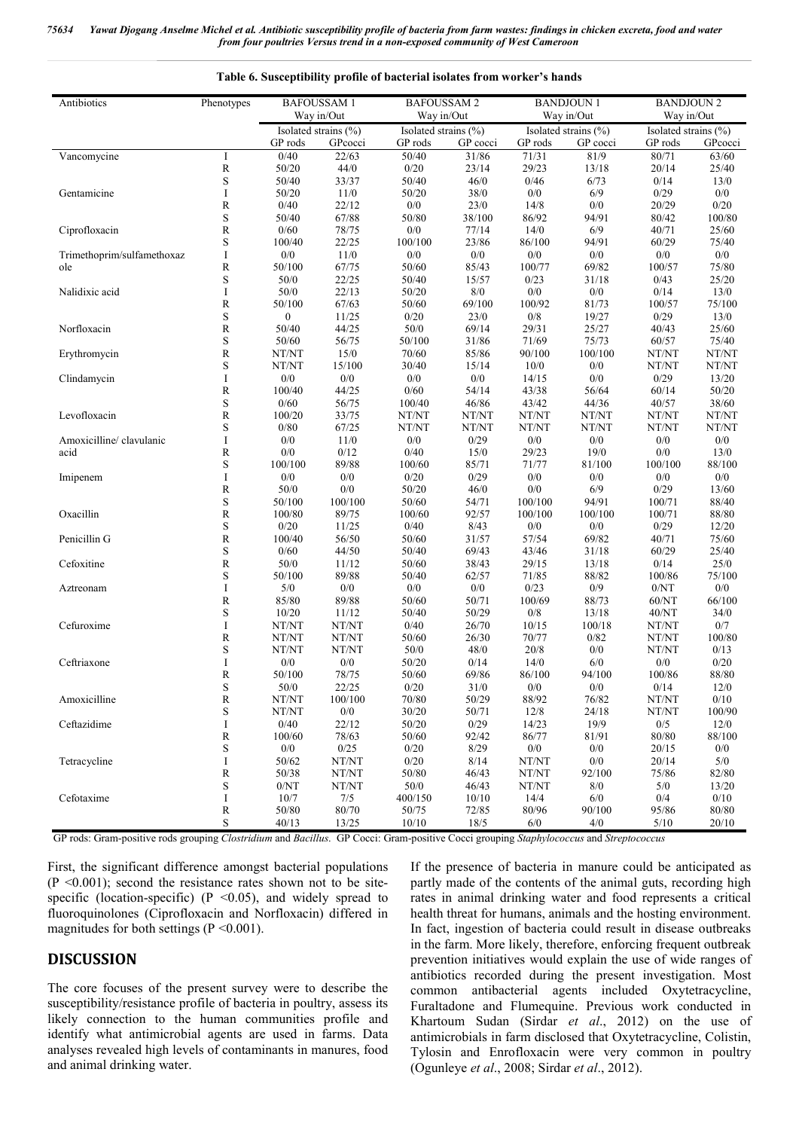*75634 Yawat Djogang Anselme Michel et al. Antibiotic susceptibility profile of bacteria from farm wastes: findings in chicken excreta, food and water from four poultries Versus trend in a non-exposed community of West Cameroon*

| Antibiotics                | Phenotypes   | <b>BAFOUSSAM1</b>    |         | <b>BAFOUSSAM2</b>    |            |         | <b>BANDJOUN1</b>     | <b>BANDJOUN 2</b>    |            |  |  |
|----------------------------|--------------|----------------------|---------|----------------------|------------|---------|----------------------|----------------------|------------|--|--|
|                            |              | Way in/Out           |         |                      | Way in/Out |         | Way in/Out           |                      | Way in/Out |  |  |
|                            |              | Isolated strains (%) |         | Isolated strains (%) |            |         | Isolated strains (%) | Isolated strains (%) |            |  |  |
|                            |              | GP rods              | GPcocci | GP rods              | GP cocci   | GP rods | GP cocci             | GP rods              | GPcocci    |  |  |
| Vancomycine                | I            | 0/40                 | 22/63   | 50/40                | 31/86      | 71/31   | 81/9                 | 80/71                | 63/60      |  |  |
|                            | $\mathbb{R}$ | 50/20                | 44/0    | 0/20                 | 23/14      | 29/23   | 13/18                | 20/14                | 25/40      |  |  |
|                            | $\mathbf S$  | 50/40                | 33/37   | 50/40                | 46/0       | 0/46    | 6/73                 | 0/14                 | 13/0       |  |  |
| Gentamicine                | I            | 50/20                | 11/0    | 50/20                | 38/0       | 0/0     | 6/9                  | 0/29                 | 0/0        |  |  |
|                            | R            | 0/40                 | 22/12   | $0/0$                | 23/0       | 14/8    | 0/0                  | 20/29                | $0/20$     |  |  |
|                            | S            | 50/40                | 67/88   | 50/80                | 38/100     | 86/92   | 94/91                | 80/42                | 100/80     |  |  |
| Ciprofloxacin              | R            | 0/60                 | 78/75   | 0/0                  | 77/14      | 14/0    | 6/9                  | 40/71                | 25/60      |  |  |
|                            | S            | 100/40               | 22/25   | 100/100              | 23/86      | 86/100  | 94/91                | 60/29                | 75/40      |  |  |
| Trimethoprim/sulfamethoxaz | I            | 0/0                  | 11/0    | 0/0                  | 0/0        | 0/0     | 0/0                  | 0/0                  | 0/0        |  |  |
| ole                        | R            | 50/100               | 67/75   | 50/60                | 85/43      | 100/77  | 69/82                | 100/57               | 75/80      |  |  |
|                            | S            | 50/0                 | 22/25   | 50/40                | 15/57      | 0/23    | 31/18                | 0/43                 | 25/20      |  |  |
| Nalidixic acid             | I            | 50/0                 | 22/13   | 50/20                | $8/0\,$    | 0/0     | $0/0$                | 0/14                 | 13/0       |  |  |
|                            | R            | 50/100               | 67/63   | 50/60                | 69/100     | 100/92  | 81/73                | 100/57               | 75/100     |  |  |
|                            | S            | $\boldsymbol{0}$     | 11/25   | 0/20                 | 23/0       | $0/8\,$ | 19/27                | 0/29                 | 13/0       |  |  |
| Norfloxacin                | R            | 50/40                | 44/25   | 50/0                 | 69/14      | 29/31   | 25/27                | 40/43                | 25/60      |  |  |
|                            | S            | 50/60                | 56/75   | 50/100               | 31/86      | 71/69   | 75/73                | 60/57                | 75/40      |  |  |
| Erythromycin               | R            | NT/NT                | $15/0$  | 70/60                | 85/86      | 90/100  | 100/100              | NT/NT                | NT/NT      |  |  |
|                            | S            | NT/NT                | 15/100  | 30/40                | 15/14      | 10/0    | 0/0                  | NT/NT                | NT/NT      |  |  |
| Clindamycin                | I            | 0/0                  | 0/0     | 0/0                  | 0/0        | 14/15   | 0/0                  | 0/29                 | 13/20      |  |  |
|                            | R            | 100/40               | 44/25   | 0/60                 | 54/14      | 43/38   | 56/64                | 60/14                | 50/20      |  |  |
|                            | S            | 0/60                 | 56/75   | 100/40               | 46/86      | 43/42   | 44/36                | 40/57                | 38/60      |  |  |
| Levofloxacin               | R            | 100/20               | 33/75   | NT/NT                | NT/NT      | NT/NT   | NT/NT                | NT/NT                | NT/NT      |  |  |
|                            | S            | 0/80                 | 67/25   | NT/NT                | NT/NT      | NT/NT   | NT/NT                | NT/NT                | NT/NT      |  |  |
| Amoxicilline/ clavulanic   | I            | 0/0                  | 11/0    | 0/0                  | 0/29       | 0/0     | 0/0                  | 0/0                  | 0/0        |  |  |
| acid                       | R            | 0/0                  | 0/12    | 0/40                 | 15/0       | 29/23   | 19/0                 | 0/0                  | 13/0       |  |  |
|                            | S            | 100/100              | 89/88   | 100/60               | 85/71      | 71/77   | 81/100               | 100/100              | 88/100     |  |  |
| Imipenem                   | I            | 0/0                  | $0/0\,$ | 0/20                 | 0/29       | 0/0     | 0/0                  | 0/0                  | 0/0        |  |  |
|                            | R            | 50/0                 | 0/0     | 50/20                | 46/0       | 0/0     | 6/9                  | 0/29                 | 13/60      |  |  |
|                            | S            | 50/100               | 100/100 | 50/60                | 54/71      | 100/100 | 94/91                | 100/71               | 88/40      |  |  |
| Oxacillin                  | R            | 100/80               | 89/75   | 100/60               | 92/57      | 100/100 | 100/100              | 100/71               | 88/80      |  |  |
|                            | S            | 0/20                 | 11/25   | 0/40                 | 8/43       | $0/0$   | 0/0                  | 0/29                 | 12/20      |  |  |
| Penicillin G               | R            | 100/40               | 56/50   | 50/60                | 31/57      | 57/54   | 69/82                | 40/71                | 75/60      |  |  |
|                            | S            | 0/60                 | 44/50   | 50/40                | 69/43      | 43/46   | 31/18                | 60/29                | 25/40      |  |  |
| Cefoxitine                 | R            | 50/0                 | 11/12   | 50/60                | 38/43      | 29/15   | 13/18                | 0/14                 | 25/0       |  |  |
|                            | S            | 50/100               | 89/88   | 50/40                | 62/57      | 71/85   | 88/82                | 100/86               | 75/100     |  |  |
| Aztreonam                  | I            | 5/0                  | $0/0\,$ | $0/0$                | 0/0        | 0/23    | $0/9$                | 0/NT                 | 0/0        |  |  |
|                            | $\mathbb{R}$ | 85/80                | 89/88   | 50/60                | 50/71      | 100/69  | 88/73                | 60/NT                | 66/100     |  |  |
|                            | S            | 10/20                | 11/12   | 50/40                | 50/29      | 0/8     | 13/18                | 40/NT                | 34/0       |  |  |
| Cefuroxime                 | I            | NT/NT                | NT/NT   | 0/40                 | 26/70      | 10/15   | 100/18               | NT/NT                | 0/7        |  |  |
|                            | R            | NT/NT                | NT/NT   | 50/60                | 26/30      | 70/77   | 0/82                 | NT/NT                | 100/80     |  |  |
|                            | S            | NT/NT                | NT/NT   | 50/0                 | 48/0       | 20/8    | 0/0                  | NT/NT                | 0/13       |  |  |
| Ceftriaxone                | I            | 0/0                  | 0/0     | 50/20                | 0/14       | 14/0    | 6/0                  | 0/0                  | 0/20       |  |  |
|                            | R            | 50/100               | 78/75   | 50/60                | 69/86      | 86/100  | 94/100               | 100/86               | 88/80      |  |  |
|                            | S            | 50/0                 | 22/25   | 0/20                 | 31/0       | 0/0     | 0/0                  | 0/14                 | 12/0       |  |  |
| Amoxicilline               | $\mathbb R$  | NT/NT                | 100/100 | 70/80                | 50/29      | 88/92   | 76/82                | NT/NT                | 0/10       |  |  |
|                            | S            | NT/NT                | 0/0     | 30/20                | 50/71      | 12/8    | 24/18                | NT/NT                | 100/90     |  |  |
| Ceftazidime                | I            | 0/40                 | 22/12   | 50/20                | 0/29       | 14/23   | 19/9                 | 0/5                  | 12/0       |  |  |
|                            | $\mathbb R$  | 100/60               | 78/63   | 50/60                | 92/42      | 86/77   | 81/91                | 80/80                | 88/100     |  |  |
|                            | $\mathbf S$  | $0/0$                | 0/25    | 0/20                 | 8/29       | $0/0\,$ | $0/0$                | 20/15                | 0/0        |  |  |
| Tetracycline               | I            | 50/62                | NT/NT   | 0/20                 | 8/14       | NT/NT   | $0/0$                | 20/14                | $5/0$      |  |  |
|                            | ${\bf R}$    | 50/38                | NT/NT   | 50/80                | 46/43      | NT/NT   | 92/100               | 75/86                | 82/80      |  |  |
|                            | S            | $0/\mathrm{NT}$      | NT/NT   | 50/0                 | 46/43      | NT/NT   | 8/0                  | 5/0                  | 13/20      |  |  |
| Cefotaxime                 | I            | 10/7                 | 7/5     | 400/150              | 10/10      | 14/4    | 6/0                  | 0/4                  | $0/10$     |  |  |
|                            | ${\bf R}$    | 50/80                | 80/70   | 50/75                | 72/85      | 80/96   | 90/100               | 95/86                | 80/80      |  |  |
|                            | $\mathbf S$  | 40/13                | 13/25   | 10/10                | 18/5       | 6/0     | 4/0                  | 5/10                 | 20/10      |  |  |

**Table 6. Susceptibility profile of bacterial isolates from worker's hands**

GP rods: Gram-positive rods grouping *Clostridium* and *Bacillus*. GP Cocci: Gram-positive Cocci grouping *Staphylococcus* and *Streptococcus*

First, the significant difference amongst bacterial populations  $(P \le 0.001)$ ; second the resistance rates shown not to be sitespecific (location-specific) (P < 0.05), and widely spread to fluoroquinolones (Ciprofloxacin and Norfloxacin) differed in magnitudes for both settings ( $P < 0.001$ ).

### **DISCUSSION**

The core focuses of the present survey were to describe the susceptibility/resistance profile of bacteria in poultry, assess its likely connection to the human communities profile and identify what antimicrobial agents are used in farms. Data analyses revealed high levels of contaminants in manures, food and animal drinking water.

If the presence of bacteria in manure could be anticipated as partly made of the contents of the animal guts, recording high rates in animal drinking water and food represents a critical health threat for humans, animals and the hosting environment. In fact, ingestion of bacteria could result in disease outbreaks in the farm. More likely, therefore, enforcing frequent outbreak prevention initiatives would explain the use of wide ranges of antibiotics recorded during the present investigation. Most common antibacterial agents included Oxytetracycline, Furaltadone and Flumequine. Previous work conducted in Khartoum Sudan (Sirdar *et al*., 2012) on the use of antimicrobials in farm disclosed that Oxytetracycline, Colistin, Tylosin and Enrofloxacin were very common in poultry (Ogunleye *et al*., 2008; Sirdar *et al*., 2012).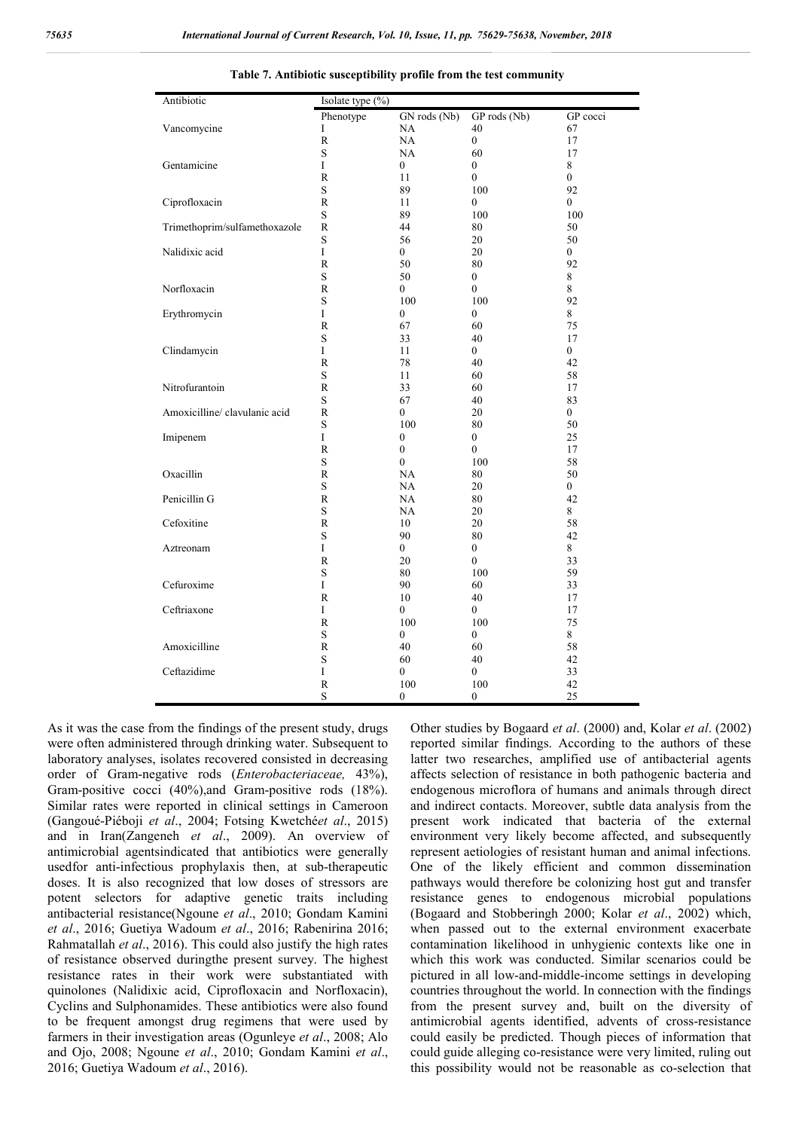| Antibiotic                    | Isolate type (%) |                  |                  |                |  |  |  |  |
|-------------------------------|------------------|------------------|------------------|----------------|--|--|--|--|
|                               | Phenotype        | GN rods (Nb)     | GP rods (Nb)     | GP cocci       |  |  |  |  |
| Vancomycine                   | I                | NA               | 40               | 67             |  |  |  |  |
|                               | R                | NA               | $\mathbf{0}$     | 17             |  |  |  |  |
|                               | S                | NA               | 60               | 17             |  |  |  |  |
| Gentamicine                   | I                | 0                | 0                | $\,8\,$        |  |  |  |  |
|                               | $\mathbb{R}$     | 11               | 0                | $\mathbf{0}$   |  |  |  |  |
|                               | S                | 89               | 100              | 92             |  |  |  |  |
| Ciprofloxacin                 | $\mathbb{R}$     | 11               | 0                | 0              |  |  |  |  |
|                               | S                | 89               | 100              | 100            |  |  |  |  |
| Trimethoprim/sulfamethoxazole | $\mathbb{R}$     | 44               | 80               | 50             |  |  |  |  |
|                               | S                | 56               | $20\,$           | 50             |  |  |  |  |
| Nalidixic acid                | I                | 0                | 20               | $\mathbf{0}$   |  |  |  |  |
|                               | R                | 50               | 80               | 92             |  |  |  |  |
|                               | S                | 50               | $\mathbf{0}$     | 8              |  |  |  |  |
| Norfloxacin                   | R                | $\overline{0}$   | $\boldsymbol{0}$ | 8              |  |  |  |  |
|                               | S                | 100              | 100              | 92             |  |  |  |  |
| Erythromycin                  | I                | $\boldsymbol{0}$ | $\mathbf{0}$     | 8              |  |  |  |  |
|                               | R                | 67               | 60               | 75             |  |  |  |  |
|                               | S                | 33               | 40               | 17             |  |  |  |  |
| Clindamycin                   | I                | 11               | $\bf{0}$         | $\overline{0}$ |  |  |  |  |
|                               | R                | 78               | 40               | 42             |  |  |  |  |
|                               | S                | 11               | 60               | 58             |  |  |  |  |
| Nitrofurantoin                | R                | 33               | 60               | 17             |  |  |  |  |
|                               | S                | 67               | 40               | 83             |  |  |  |  |
| Amoxicilline/ clavulanic acid | $\mathbb{R}$     | $\boldsymbol{0}$ | $20\,$           | $\bf{0}$       |  |  |  |  |
|                               | S                | 100              | 80               | 50             |  |  |  |  |
| Imipenem                      | I                | $\boldsymbol{0}$ | $\mathbf{0}$     | 25             |  |  |  |  |
|                               | R                | $\boldsymbol{0}$ | $\boldsymbol{0}$ | 17             |  |  |  |  |
|                               | S                | 0                | 100              | 58             |  |  |  |  |
| Oxacillin                     | R                | NA               | 80               | 50             |  |  |  |  |
|                               | S                | NA               | 20               | 0              |  |  |  |  |
| Penicillin G                  | R                | NA               | 80               | 42             |  |  |  |  |
|                               | S                | NA               | 20               | 8              |  |  |  |  |
| Cefoxitine                    | $\mathbb{R}$     | 10               | $20\,$           | 58             |  |  |  |  |
|                               | S                | 90               | 80               | 42             |  |  |  |  |
| Aztreonam                     | I                | $\overline{0}$   | $\boldsymbol{0}$ | 8              |  |  |  |  |
|                               | $\mathbb{R}$     | 20               | $\boldsymbol{0}$ | 33             |  |  |  |  |
|                               | S                | 80               | 100              | 59             |  |  |  |  |
| Cefuroxime                    | L                | 90               | 60               | 33             |  |  |  |  |
|                               | $\mathbb{R}$     | 10               | 40               | 17             |  |  |  |  |
| Ceftriaxone                   | I                | 0                | 0                | 17             |  |  |  |  |
|                               | R                | 100              | 100              | 75             |  |  |  |  |
|                               | S                | 0                | $\overline{0}$   | 8              |  |  |  |  |
| Amoxicilline                  | $\mathbb{R}$     | 40               | 60               | 58             |  |  |  |  |
|                               | S                | 60               | 40               | 42             |  |  |  |  |
|                               | $\rm I$          |                  |                  |                |  |  |  |  |
| Ceftazidime                   |                  | 0                | 0                | 33             |  |  |  |  |
|                               | ${\mathbb R}$    | 100              | 100              | 42             |  |  |  |  |
|                               | S                | 0                | $\mathbf{0}$     | 25             |  |  |  |  |

**Table 7. Antibiotic susceptibility profile from the test community**

As it was the case from the findings of the present study, drugs were often administered through drinking water. Subsequent to laboratory analyses, isolates recovered consisted in decreasing order of Gram-negative rods (*Enterobacteriaceae,* 43%), Gram-positive cocci (40%),and Gram-positive rods (18%). Similar rates were reported in clinical settings in Cameroon (Gangoué-Piéboji *et al*., 2004; Fotsing Kwetché*et al*., 2015) and in Iran(Zangeneh *et al*., 2009). An overview of antimicrobial agentsindicated that antibiotics were generally usedfor anti-infectious prophylaxis then, at sub-therapeutic doses. It is also recognized that low doses of stressors are potent selectors for adaptive genetic traits including antibacterial resistance(Ngoune *et al*., 2010; Gondam Kamini *et al*., 2016; Guetiya Wadoum *et al*., 2016; Rabenirina 2016; Rahmatallah *et al*., 2016). This could also justify the high rates of resistance observed duringthe present survey. The highest resistance rates in their work were substantiated with quinolones (Nalidixic acid, Ciprofloxacin and Norfloxacin), Cyclins and Sulphonamides. These antibiotics were also found to be frequent amongst drug regimens that were used by farmers in their investigation areas (Ogunleye *et al*., 2008; Alo and Ojo, 2008; Ngoune *et al*., 2010; Gondam Kamini *et al*., 2016; Guetiya Wadoum *et al*., 2016).

Other studies by Bogaard *et al*. (2000) and, Kolar *et al*. (2002) reported similar findings. According to the authors of these latter two researches, amplified use of antibacterial agents affects selection of resistance in both pathogenic bacteria and endogenous microflora of humans and animals through direct and indirect contacts. Moreover, subtle data analysis from the present work indicated that bacteria of the external environment very likely become affected, and subsequently represent aetiologies of resistant human and animal infections. One of the likely efficient and common dissemination pathways would therefore be colonizing host gut and transfer resistance genes to endogenous microbial populations (Bogaard and Stobberingh 2000; Kolar *et al*., 2002) which, when passed out to the external environment exacerbate contamination likelihood in unhygienic contexts like one in which this work was conducted. Similar scenarios could be pictured in all low-and-middle-income settings in developing countries throughout the world. In connection with the findings from the present survey and, built on the diversity of antimicrobial agents identified, advents of cross-resistance could easily be predicted. Though pieces of information that could guide alleging co-resistance were very limited, ruling out this possibility would not be reasonable as co-selection that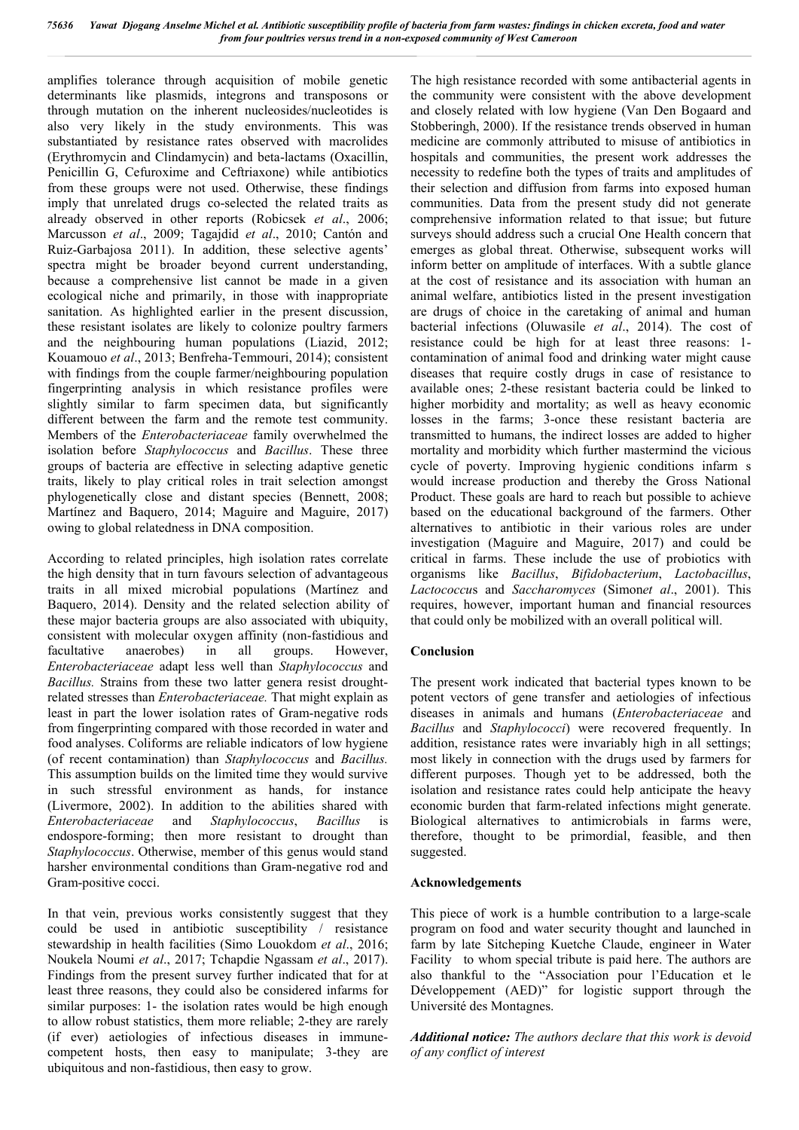amplifies tolerance through acquisition of mobile genetic determinants like plasmids, integrons and transposons or through mutation on the inherent nucleosides/nucleotides is also very likely in the study environments. This was substantiated by resistance rates observed with macrolides (Erythromycin and Clindamycin) and beta-lactams (Oxacillin, Penicillin G, Cefuroxime and Ceftriaxone) while antibiotics from these groups were not used. Otherwise, these findings imply that unrelated drugs co-selected the related traits as already observed in other reports (Robicsek *et al*., 2006; Marcusson *et al*., 2009; Tagajdid *et al*., 2010; Cantón and Ruiz-Garbajosa 2011). In addition, these selective agents' spectra might be broader beyond current understanding, because a comprehensive list cannot be made in a given ecological niche and primarily, in those with inappropriate sanitation. As highlighted earlier in the present discussion, these resistant isolates are likely to colonize poultry farmers and the neighbouring human populations (Liazid, 2012; Kouamouo *et al*., 2013; Benfreha-Temmouri, 2014); consistent with findings from the couple farmer/neighbouring population fingerprinting analysis in which resistance profiles were slightly similar to farm specimen data, but significantly different between the farm and the remote test community. Members of the *Enterobacteriaceae* family overwhelmed the isolation before *Staphylococcus* and *Bacillus*. These three groups of bacteria are effective in selecting adaptive genetic traits, likely to play critical roles in trait selection amongst phylogenetically close and distant species (Bennett, 2008; Martínez and Baquero, 2014; Maguire and Maguire, 2017) owing to global relatedness in DNA composition.

According to related principles, high isolation rates correlate the high density that in turn favours selection of advantageous traits in all mixed microbial populations (Martínez and Baquero, 2014). Density and the related selection ability of these major bacteria groups are also associated with ubiquity, consistent with molecular oxygen affinity (non-fastidious and facultative anaerobes) in all groups. However, *Enterobacteriaceae* adapt less well than *Staphylococcus* and *Bacillus.* Strains from these two latter genera resist droughtrelated stresses than *Enterobacteriaceae.* That might explain as least in part the lower isolation rates of Gram-negative rods from fingerprinting compared with those recorded in water and food analyses. Coliforms are reliable indicators of low hygiene (of recent contamination) than *Staphylococcus* and *Bacillus.* This assumption builds on the limited time they would survive in such stressful environment as hands, for instance (Livermore, 2002). In addition to the abilities shared with *Enterobacteriaceae* and *Staphylococcus*, *Bacillus* is endospore-forming; then more resistant to drought than *Staphylococcus*. Otherwise, member of this genus would stand harsher environmental conditions than Gram-negative rod and Gram-positive cocci.

In that vein, previous works consistently suggest that they could be used in antibiotic susceptibility / resistance stewardship in health facilities (Simo Louokdom *et al*., 2016; Noukela Noumi *et al*., 2017; Tchapdie Ngassam *et al*., 2017). Findings from the present survey further indicated that for at least three reasons, they could also be considered infarms for similar purposes: 1- the isolation rates would be high enough to allow robust statistics, them more reliable; 2-they are rarely (if ever) aetiologies of infectious diseases in immunecompetent hosts, then easy to manipulate; 3-they are ubiquitous and non-fastidious, then easy to grow.

The high resistance recorded with some antibacterial agents in the community were consistent with the above development and closely related with low hygiene (Van Den Bogaard and Stobberingh, 2000). If the resistance trends observed in human medicine are commonly attributed to misuse of antibiotics in hospitals and communities, the present work addresses the necessity to redefine both the types of traits and amplitudes of their selection and diffusion from farms into exposed human communities. Data from the present study did not generate comprehensive information related to that issue; but future surveys should address such a crucial One Health concern that emerges as global threat. Otherwise, subsequent works will inform better on amplitude of interfaces. With a subtle glance at the cost of resistance and its association with human an animal welfare, antibiotics listed in the present investigation are drugs of choice in the caretaking of animal and human bacterial infections (Oluwasile *et al*., 2014). The cost of resistance could be high for at least three reasons: 1 contamination of animal food and drinking water might cause diseases that require costly drugs in case of resistance to available ones; 2-these resistant bacteria could be linked to higher morbidity and mortality; as well as heavy economic losses in the farms; 3-once these resistant bacteria are transmitted to humans, the indirect losses are added to higher mortality and morbidity which further mastermind the vicious cycle of poverty. Improving hygienic conditions infarm s would increase production and thereby the Gross National Product. These goals are hard to reach but possible to achieve based on the educational background of the farmers. Other alternatives to antibiotic in their various roles are under investigation (Maguire and Maguire, 2017) and could be critical in farms. These include the use of probiotics with organisms like *Bacillus*, *Bifidobacterium*, *Lactobacillus*, *Lactococcu*s and *Saccharomyces* (Simon*et al*., 2001). This requires, however, important human and financial resources that could only be mobilized with an overall political will.

# **Conclusion**

The present work indicated that bacterial types known to be potent vectors of gene transfer and aetiologies of infectious diseases in animals and humans (*Enterobacteriaceae* and *Bacillus* and *Staphylococci*) were recovered frequently. In addition, resistance rates were invariably high in all settings; most likely in connection with the drugs used by farmers for different purposes. Though yet to be addressed, both the isolation and resistance rates could help anticipate the heavy economic burden that farm-related infections might generate. Biological alternatives to antimicrobials in farms were, therefore, thought to be primordial, feasible, and then suggested.

#### **Acknowledgements**

This piece of work is a humble contribution to a large-scale program on food and water security thought and launched in farm by late Sitcheping Kuetche Claude, engineer in Water Facility to whom special tribute is paid here. The authors are also thankful to the "Association pour l'Education et le Développement (AED)" for logistic support through the Université des Montagnes.

*Additional notice: The authors declare that this work is devoid of any conflict of interest*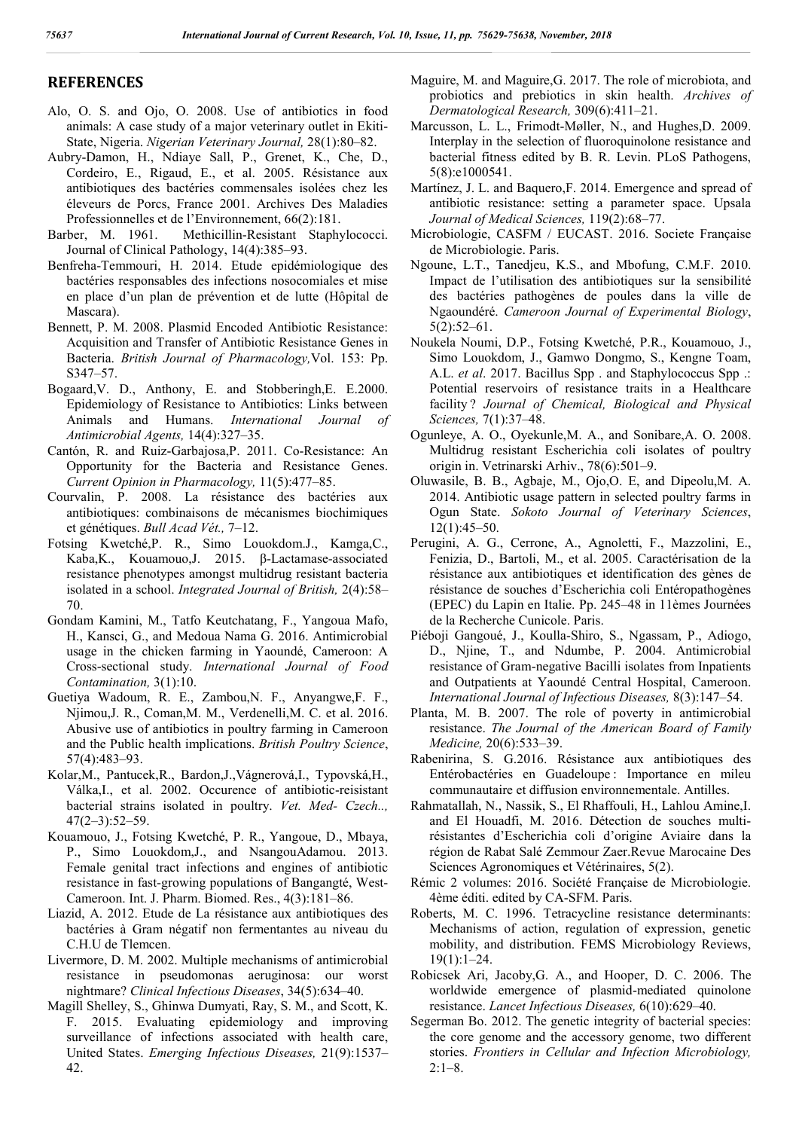# **REFERENCES**

- Alo, O. S. and Ojo, O. 2008. Use of antibiotics in food animals: A case study of a major veterinary outlet in Ekiti-State, Nigeria. *Nigerian Veterinary Journal,* 28(1):80–82.
- Aubry-Damon, H., Ndiaye Sall, P., Grenet, K., Che, D., Cordeiro, E., Rigaud, E., et al. 2005. Résistance aux antibiotiques des bactéries commensales isolées chez les éleveurs de Porcs, France 2001. Archives Des Maladies Professionnelles et de l'Environnement, 66(2):181.
- Barber, M. 1961. Methicillin-Resistant Staphylococci. Journal of Clinical Pathology, 14(4):385–93.
- Benfreha-Temmouri, H. 2014. Etude epidémiologique des bactéries responsables des infections nosocomiales et mise en place d'un plan de prévention et de lutte (Hôpital de Mascara).
- Bennett, P. M. 2008. Plasmid Encoded Antibiotic Resistance: Acquisition and Transfer of Antibiotic Resistance Genes in Bacteria. *British Journal of Pharmacology,*Vol. 153: Pp. S347–57.
- Bogaard,V. D., Anthony, E. and Stobberingh,E. E.2000. Epidemiology of Resistance to Antibiotics: Links between Animals and Humans. *International Journal of Antimicrobial Agents,* 14(4):327–35.
- Cantón, R. and Ruiz-Garbajosa,P. 2011. Co-Resistance: An Opportunity for the Bacteria and Resistance Genes. *Current Opinion in Pharmacology,* 11(5):477–85.
- Courvalin, P. 2008. La résistance des bactéries aux antibiotiques: combinaisons de mécanismes biochimiques et génétiques. *Bull Acad Vét.,* 7–12.
- Fotsing Kwetché,P. R., Simo Louokdom.J., Kamga,C., Kaba,K., Kouamouo,J. 2015. β-Lactamase-associated resistance phenotypes amongst multidrug resistant bacteria isolated in a school. *Integrated Journal of British,* 2(4):58– 70.
- Gondam Kamini, M., Tatfo Keutchatang, F., Yangoua Mafo, H., Kansci, G., and Medoua Nama G. 2016. Antimicrobial usage in the chicken farming in Yaoundé, Cameroon: A Cross-sectional study. *International Journal of Food Contamination,* 3(1):10.
- Guetiya Wadoum, R. E., Zambou,N. F., Anyangwe,F. F., Njimou,J. R., Coman,M. M., Verdenelli,M. C. et al. 2016. Abusive use of antibiotics in poultry farming in Cameroon and the Public health implications. *British Poultry Science*, 57(4):483–93.
- Kolar,M., Pantucek,R., Bardon,J.,Vágnerová,I., Typovská,H., Válka,I., et al. 2002. Occurence of antibiotic-reisistant bacterial strains isolated in poultry. *Vet. Med- Czech..,* 47(2–3):52–59.
- Kouamouo, J., Fotsing Kwetché, P. R., Yangoue, D., Mbaya, P., Simo Louokdom,J., and NsangouAdamou. 2013. Female genital tract infections and engines of antibiotic resistance in fast-growing populations of Bangangté, West-Cameroon. Int. J. Pharm. Biomed. Res., 4(3):181–86.
- Liazid, A. 2012. Etude de La résistance aux antibiotiques des bactéries à Gram négatif non fermentantes au niveau du C.H.U de Tlemcen.
- Livermore, D. M. 2002. Multiple mechanisms of antimicrobial resistance in pseudomonas aeruginosa: our worst nightmare? *Clinical Infectious Diseases*, 34(5):634–40.
- Magill Shelley, S., Ghinwa Dumyati, Ray, S. M., and Scott, K. F. 2015. Evaluating epidemiology and improving surveillance of infections associated with health care, United States. *Emerging Infectious Diseases,* 21(9):1537– 42.
- Maguire, M. and Maguire,G. 2017. The role of microbiota, and probiotics and prebiotics in skin health. *Archives of Dermatological Research,* 309(6):411–21.
- Marcusson, L. L., Frimodt-Møller, N., and Hughes,D. 2009. Interplay in the selection of fluoroquinolone resistance and bacterial fitness edited by B. R. Levin. PLoS Pathogens, 5(8):e1000541.
- Martínez, J. L. and Baquero,F. 2014. Emergence and spread of antibiotic resistance: setting a parameter space. Upsala *Journal of Medical Sciences,* 119(2):68–77.
- Microbiologie, CASFM / EUCAST. 2016. Societe Française de Microbiologie. Paris.
- Ngoune, L.T., Tanedjeu, K.S., and Mbofung, C.M.F. 2010. Impact de l'utilisation des antibiotiques sur la sensibilité des bactéries pathogènes de poules dans la ville de Ngaoundéré. *Cameroon Journal of Experimental Biology*, 5(2):52–61.
- Noukela Noumi, D.P., Fotsing Kwetché, P.R., Kouamouo, J., Simo Louokdom, J., Gamwo Dongmo, S., Kengne Toam, A.L. *et al*. 2017. Bacillus Spp . and Staphylococcus Spp .: Potential reservoirs of resistance traits in a Healthcare facility ? *Journal of Chemical, Biological and Physical Sciences,* 7(1):37–48.
- Ogunleye, A. O., Oyekunle,M. A., and Sonibare,A. O. 2008. Multidrug resistant Escherichia coli isolates of poultry origin in. Vetrinarski Arhiv., 78(6):501–9.
- Oluwasile, B. B., Agbaje, M., Ojo,O. E, and Dipeolu,M. A. 2014. Antibiotic usage pattern in selected poultry farms in Ogun State. *Sokoto Journal of Veterinary Sciences*, 12(1):45–50.
- Perugini, A. G., Cerrone, A., Agnoletti, F., Mazzolini, E., Fenizia, D., Bartoli, M., et al. 2005. Caractérisation de la résistance aux antibiotiques et identification des gènes de résistance de souches d'Escherichia coli Entéropathogènes (EPEC) du Lapin en Italie. Pp. 245–48 in 11èmes Journées de la Recherche Cunicole. Paris.
- Piéboji Gangoué, J., Koulla-Shiro, S., Ngassam, P., Adiogo, D., Njine, T., and Ndumbe, P. 2004. Antimicrobial resistance of Gram-negative Bacilli isolates from Inpatients and Outpatients at Yaoundé Central Hospital, Cameroon. *International Journal of Infectious Diseases,* 8(3):147–54.
- Planta, M. B. 2007. The role of poverty in antimicrobial resistance. *The Journal of the American Board of Family Medicine,* 20(6):533–39.
- Rabenirina, S. G.2016. Résistance aux antibiotiques des Entérobactéries en Guadeloupe : Importance en mileu communautaire et diffusion environnementale. Antilles.
- Rahmatallah, N., Nassik, S., El Rhaffouli, H., Lahlou Amine,I. and El Houadfi, M. 2016. Détection de souches multirésistantes d'Escherichia coli d'origine Aviaire dans la région de Rabat Salé Zemmour Zaer.Revue Marocaine Des Sciences Agronomiques et Vétérinaires, 5(2).
- Rémic 2 volumes: 2016. Société Française de Microbiologie. 4ème éditi. edited by CA-SFM. Paris.
- Roberts, M. C. 1996. Tetracycline resistance determinants: Mechanisms of action, regulation of expression, genetic mobility, and distribution. FEMS Microbiology Reviews, 19(1):1–24.
- Robicsek Ari, Jacoby,G. A., and Hooper, D. C. 2006. The worldwide emergence of plasmid-mediated quinolone resistance. *Lancet Infectious Diseases,* 6(10):629–40.
- Segerman Bo. 2012. The genetic integrity of bacterial species: the core genome and the accessory genome, two different stories. *Frontiers in Cellular and Infection Microbiology,*  $2:1-8$ .